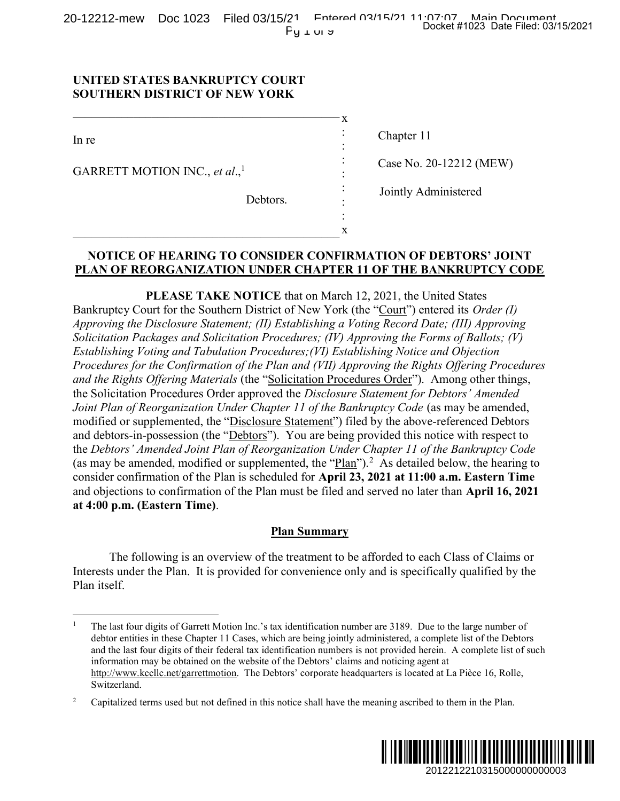## UNITED STATES BANKRUPTCY COURT SOUTHERN DISTRICT OF NEW YORK

 $\overline{a}$ 

| In re                                     | $\ddot{\cdot}$<br>$\bullet$<br>$\bullet$ | Chapter 11              |
|-------------------------------------------|------------------------------------------|-------------------------|
| GARRETT MOTION INC., et al., <sup>1</sup> | ٠<br>$\cdot$<br>۰                        | Case No. 20-12212 (MEW) |
|                                           | $\ddot{\cdot}$                           | Jointly Administered    |
| Debtors.                                  | $\bullet$                                |                         |
|                                           | ٠                                        |                         |
|                                           | x                                        |                         |

# NOTICE OF HEARING TO CONSIDER CONFIRMATION OF DEBTORS' JOINT PLAN OF REORGANIZATION UNDER CHAPTER 11 OF THE BANKRUPTCY CODE

PLEASE TAKE NOTICE that on March 12, 2021, the United States Bankruptcy Court for the Southern District of New York (the "Court") entered its Order (I) Approving the Disclosure Statement; (II) Establishing a Voting Record Date; (III) Approving Solicitation Packages and Solicitation Procedures; (IV) Approving the Forms of Ballots; (V) Establishing Voting and Tabulation Procedures;(VI) Establishing Notice and Objection Procedures for the Confirmation of the Plan and (VII) Approving the Rights Offering Procedures and the Rights Offering Materials (the "Solicitation Procedures Order"). Among other things, the Solicitation Procedures Order approved the Disclosure Statement for Debtors' Amended Joint Plan of Reorganization Under Chapter 11 of the Bankruptcy Code (as may be amended, modified or supplemented, the "Disclosure Statement") filed by the above-referenced Debtors and debtors-in-possession (the "Debtors"). You are being provided this notice with respect to the Debtors' Amended Joint Plan of Reorganization Under Chapter 11 of the Bankruptcy Code (as may be amended, modified or supplemented, the " $Plan$ ").<sup>2</sup> As detailed below, the hearing to consider confirmation of the Plan is scheduled for April 23, 2021 at 11:00 a.m. Eastern Time and objections to confirmation of the Plan must be filed and served no later than April 16, 2021 at 4:00 p.m. (Eastern Time). Docket #1023 Date Filed: 03/15/2021<br>
20-12212 (MEW)<br>
dministered<br>
20-12212 (MEW)<br>
dministered<br>
DEBTORS' JOINT<br>
United States<br>
United States<br>
United States<br>
c and Objection<br> *Pane (II) Approving*<br>
Forms of Ballots; (V)<br>
gen

#### Plan Summary

The following is an overview of the treatment to be afforded to each Class of Claims or Interests under the Plan. It is provided for convenience only and is specifically qualified by the Plan itself.

<sup>2</sup> Capitalized terms used but not defined in this notice shall have the meaning ascribed to them in the Plan.



<sup>1</sup> The last four digits of Garrett Motion Inc.'s tax identification number are 3189. Due to the large number of debtor entities in these Chapter 11 Cases, which are being jointly administered, a complete list of the Debtors and the last four digits of their federal tax identification numbers is not provided herein. A complete list of such information may be obtained on the website of the Debtors' claims and noticing agent at http://www.kccllc.net/garrettmotion. The Debtors' corporate headquarters is located at La Pièce 16, Rolle, Switzerland.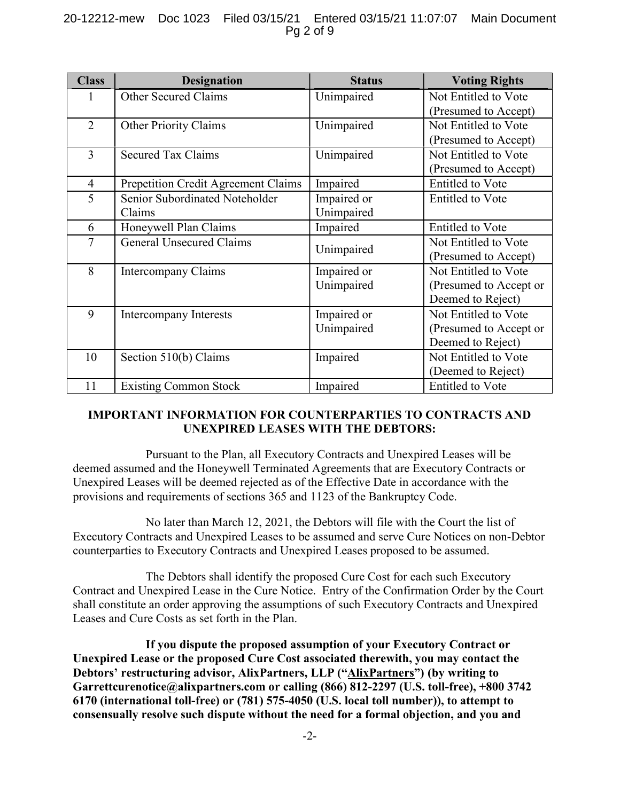# 20-12212-mew Doc 1023 Filed 03/15/21 Entered 03/15/21 11:07:07 Main Document Pg 2 of 9

| <b>Class</b>   | <b>Designation</b>                  | <b>Status</b> | <b>Voting Rights</b>    |
|----------------|-------------------------------------|---------------|-------------------------|
|                | <b>Other Secured Claims</b>         | Unimpaired    | Not Entitled to Vote    |
|                |                                     |               | (Presumed to Accept)    |
| $\overline{2}$ | <b>Other Priority Claims</b>        | Unimpaired    | Not Entitled to Vote    |
|                |                                     |               | (Presumed to Accept)    |
| 3              | <b>Secured Tax Claims</b>           | Unimpaired    | Not Entitled to Vote    |
|                |                                     |               | (Presumed to Accept)    |
| $\overline{4}$ | Prepetition Credit Agreement Claims | Impaired      | <b>Entitled</b> to Vote |
| 5              | Senior Subordinated Noteholder      | Impaired or   | <b>Entitled</b> to Vote |
|                | Claims                              | Unimpaired    |                         |
| 6              | Honeywell Plan Claims               | Impaired      | Entitled to Vote        |
| $\overline{7}$ | <b>General Unsecured Claims</b>     | Unimpaired    | Not Entitled to Vote    |
|                |                                     |               | (Presumed to Accept)    |
| 8              | Intercompany Claims                 | Impaired or   | Not Entitled to Vote    |
|                |                                     | Unimpaired    | (Presumed to Accept or  |
|                |                                     |               | Deemed to Reject)       |
| 9              | Intercompany Interests              | Impaired or   | Not Entitled to Vote    |
|                |                                     | Unimpaired    | (Presumed to Accept or  |
|                |                                     |               | Deemed to Reject)       |
| 10             | Section 510(b) Claims               | Impaired      | Not Entitled to Vote    |
|                |                                     |               | (Deemed to Reject)      |
| 11             | <b>Existing Common Stock</b>        | Impaired      | <b>Entitled</b> to Vote |

# IMPORTANT INFORMATION FOR COUNTERPARTIES TO CONTRACTS AND UNEXPIRED LEASES WITH THE DEBTORS:

Pursuant to the Plan, all Executory Contracts and Unexpired Leases will be deemed assumed and the Honeywell Terminated Agreements that are Executory Contracts or Unexpired Leases will be deemed rejected as of the Effective Date in accordance with the provisions and requirements of sections 365 and 1123 of the Bankruptcy Code.

No later than March 12, 2021, the Debtors will file with the Court the list of Executory Contracts and Unexpired Leases to be assumed and serve Cure Notices on non-Debtor counterparties to Executory Contracts and Unexpired Leases proposed to be assumed.

The Debtors shall identify the proposed Cure Cost for each such Executory Contract and Unexpired Lease in the Cure Notice. Entry of the Confirmation Order by the Court shall constitute an order approving the assumptions of such Executory Contracts and Unexpired Leases and Cure Costs as set forth in the Plan.

If you dispute the proposed assumption of your Executory Contract or Unexpired Lease or the proposed Cure Cost associated therewith, you may contact the Debtors' restructuring advisor, AlixPartners, LLP ("AlixPartners") (by writing to Garrettcurenotice@alixpartners.com or calling  $(866)$  812-2297 (U.S. toll-free), +800 3742 6170 (international toll-free) or (781) 575-4050 (U.S. local toll number)), to attempt to consensually resolve such dispute without the need for a formal objection, and you and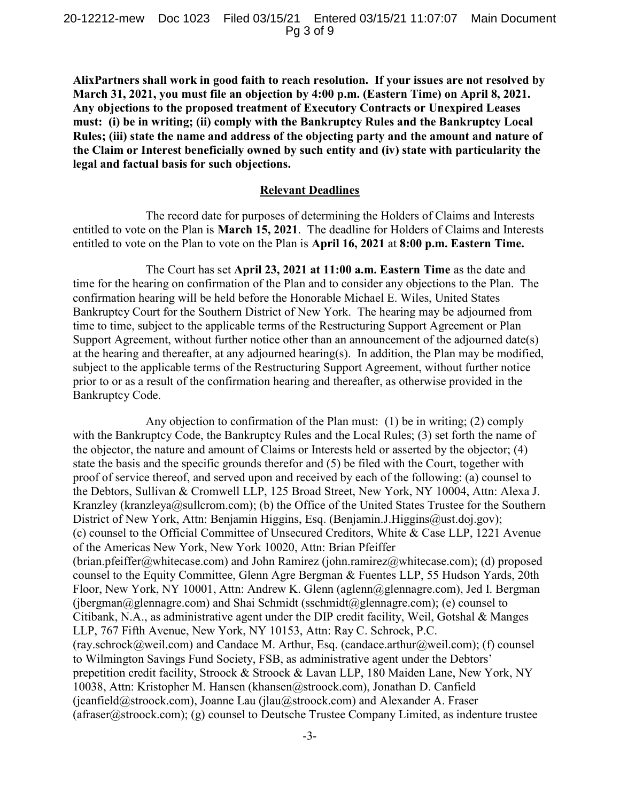AlixPartners shall work in good faith to reach resolution. If your issues are not resolved by March 31, 2021, you must file an objection by 4:00 p.m. (Eastern Time) on April 8, 2021. Any objections to the proposed treatment of Executory Contracts or Unexpired Leases must: (i) be in writing; (ii) comply with the Bankruptcy Rules and the Bankruptcy Local Rules; (iii) state the name and address of the objecting party and the amount and nature of the Claim or Interest beneficially owned by such entity and (iv) state with particularity the legal and factual basis for such objections.

#### Relevant Deadlines

The record date for purposes of determining the Holders of Claims and Interests entitled to vote on the Plan is March 15, 2021. The deadline for Holders of Claims and Interests entitled to vote on the Plan to vote on the Plan is April 16, 2021 at 8:00 p.m. Eastern Time.

The Court has set April 23, 2021 at 11:00 a.m. Eastern Time as the date and time for the hearing on confirmation of the Plan and to consider any objections to the Plan. The confirmation hearing will be held before the Honorable Michael E. Wiles, United States Bankruptcy Court for the Southern District of New York. The hearing may be adjourned from time to time, subject to the applicable terms of the Restructuring Support Agreement or Plan Support Agreement, without further notice other than an announcement of the adjourned date(s) at the hearing and thereafter, at any adjourned hearing(s). In addition, the Plan may be modified, subject to the applicable terms of the Restructuring Support Agreement, without further notice prior to or as a result of the confirmation hearing and thereafter, as otherwise provided in the Bankruptcy Code.

Any objection to confirmation of the Plan must: (1) be in writing; (2) comply with the Bankruptcy Code, the Bankruptcy Rules and the Local Rules; (3) set forth the name of the objector, the nature and amount of Claims or Interests held or asserted by the objector; (4) state the basis and the specific grounds therefor and (5) be filed with the Court, together with proof of service thereof, and served upon and received by each of the following: (a) counsel to the Debtors, Sullivan & Cromwell LLP, 125 Broad Street, New York, NY 10004, Attn: Alexa J. Kranzley (kranzleya@sullcrom.com); (b) the Office of the United States Trustee for the Southern District of New York, Attn: Benjamin Higgins, Esq. (Benjamin.J.Higgins@ust.doj.gov); (c) counsel to the Official Committee of Unsecured Creditors, White & Case LLP, 1221 Avenue of the Americas New York, New York 10020, Attn: Brian Pfeiffer (brian.pfeiffer@whitecase.com) and John Ramirez (john.ramirez@whitecase.com); (d) proposed counsel to the Equity Committee, Glenn Agre Bergman & Fuentes LLP, 55 Hudson Yards, 20th Floor, New York, NY 10001, Attn: Andrew K. Glenn (aglenn@glennagre.com), Jed I. Bergman (jbergman@glennagre.com) and Shai Schmidt (sschmidt@glennagre.com); (e) counsel to Citibank, N.A., as administrative agent under the DIP credit facility, Weil, Gotshal & Manges LLP, 767 Fifth Avenue, New York, NY 10153, Attn: Ray C. Schrock, P.C. (ray.schrock@weil.com) and Candace M. Arthur, Esq. (candace.arthur@weil.com); (f) counsel to Wilmington Savings Fund Society, FSB, as administrative agent under the Debtors' prepetition credit facility, Stroock & Stroock & Lavan LLP, 180 Maiden Lane, New York, NY 10038, Attn: Kristopher M. Hansen (khansen@stroock.com), Jonathan D. Canfield (jcanfield@stroock.com), Joanne Lau (jlau@stroock.com) and Alexander A. Fraser (afraser  $@$ stroock.com); (g) counsel to Deutsche Trustee Company Limited, as indenture trustee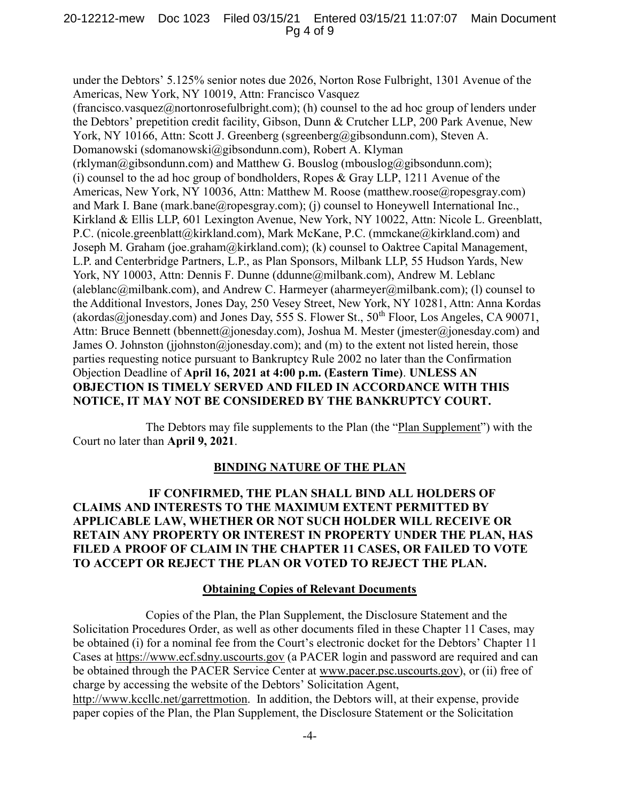#### 20-12212-mew Doc 1023 Filed 03/15/21 Entered 03/15/21 11:07:07 Main Document Pg 4 of 9

under the Debtors' 5.125% senior notes due 2026, Norton Rose Fulbright, 1301 Avenue of the Americas, New York, NY 10019, Attn: Francisco Vasquez (francisco.vasquez@nortonrosefulbright.com); (h) counsel to the ad hoc group of lenders under the Debtors' prepetition credit facility, Gibson, Dunn & Crutcher LLP, 200 Park Avenue, New York, NY 10166, Attn: Scott J. Greenberg (sgreenberg@gibsondunn.com), Steven A. Domanowski (sdomanowski@gibsondunn.com), Robert A. Klyman  $(rklyman@gibsondunn.com)$  and Matthew G. Bouslog (mbouslog@gibsondunn.com); (i) counsel to the ad hoc group of bondholders, Ropes & Gray LLP, 1211 Avenue of the Americas, New York, NY 10036, Attn: Matthew M. Roose (matthew.roose@ropesgray.com) and Mark I. Bane (mark.bane@ropesgray.com); (j) counsel to Honeywell International Inc., Kirkland & Ellis LLP, 601 Lexington Avenue, New York, NY 10022, Attn: Nicole L. Greenblatt, P.C. (nicole.greenblatt@kirkland.com), Mark McKane, P.C. (mmckane@kirkland.com) and Joseph M. Graham (joe.graham@kirkland.com); (k) counsel to Oaktree Capital Management, L.P. and Centerbridge Partners, L.P., as Plan Sponsors, Milbank LLP, 55 Hudson Yards, New York, NY 10003, Attn: Dennis F. Dunne (ddunne@milbank.com), Andrew M. Leblanc (aleblanc@milbank.com), and Andrew C. Harmeyer (aharmeyer@milbank.com); (1) counsel to the Additional Investors, Jones Day, 250 Vesey Street, New York, NY 10281, Attn: Anna Kordas (akordas@jonesday.com) and Jones Day, 555 S. Flower St.,  $50^{th}$  Floor, Los Angeles, CA 90071. Attn: Bruce Bennett (bbennett@jonesday.com), Joshua M. Mester (jmester@jonesday.com) and James O. Johnston (jjohnston@jonesday.com); and (m) to the extent not listed herein, those parties requesting notice pursuant to Bankruptcy Rule 2002 no later than the Confirmation Objection Deadline of April 16, 2021 at 4:00 p.m. (Eastern Time). UNLESS AN OBJECTION IS TIMELY SERVED AND FILED IN ACCORDANCE WITH THIS NOTICE, IT MAY NOT BE CONSIDERED BY THE BANKRUPTCY COURT.

The Debtors may file supplements to the Plan (the "Plan Supplement") with the Court no later than April 9, 2021.

#### BINDING NATURE OF THE PLAN

 IF CONFIRMED, THE PLAN SHALL BIND ALL HOLDERS OF CLAIMS AND INTERESTS TO THE MAXIMUM EXTENT PERMITTED BY APPLICABLE LAW, WHETHER OR NOT SUCH HOLDER WILL RECEIVE OR RETAIN ANY PROPERTY OR INTEREST IN PROPERTY UNDER THE PLAN, HAS FILED A PROOF OF CLAIM IN THE CHAPTER 11 CASES, OR FAILED TO VOTE TO ACCEPT OR REJECT THE PLAN OR VOTED TO REJECT THE PLAN.

#### **Obtaining Copies of Relevant Documents**

Copies of the Plan, the Plan Supplement, the Disclosure Statement and the Solicitation Procedures Order, as well as other documents filed in these Chapter 11 Cases, may be obtained (i) for a nominal fee from the Court's electronic docket for the Debtors' Chapter 11 Cases at https://www.ecf.sdny.uscourts.gov (a PACER login and password are required and can be obtained through the PACER Service Center at www.pacer.psc.uscourts.gov), or (ii) free of charge by accessing the website of the Debtors' Solicitation Agent, http://www.kccllc.net/garrettmotion. In addition, the Debtors will, at their expense, provide paper copies of the Plan, the Plan Supplement, the Disclosure Statement or the Solicitation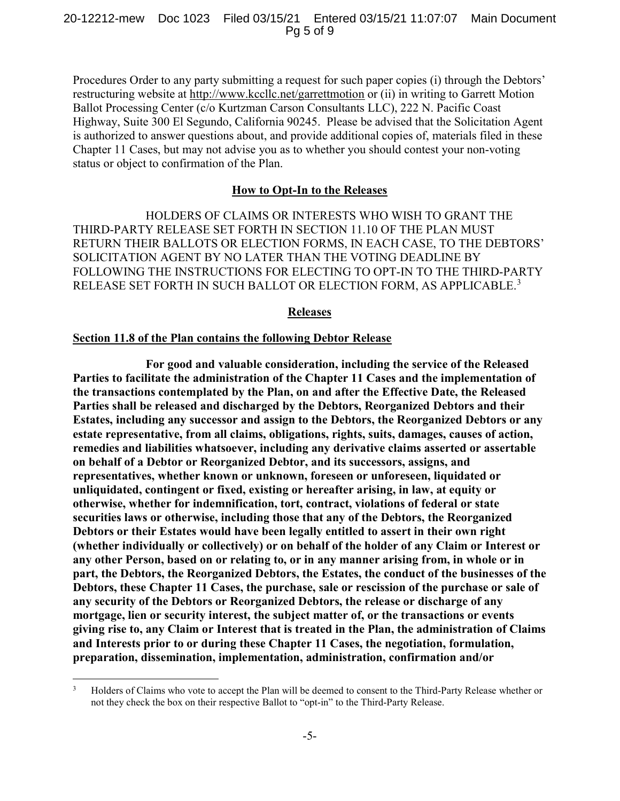Procedures Order to any party submitting a request for such paper copies (i) through the Debtors' restructuring website at http://www.kccllc.net/garrettmotion or (ii) in writing to Garrett Motion Ballot Processing Center (c/o Kurtzman Carson Consultants LLC), 222 N. Pacific Coast Highway, Suite 300 El Segundo, California 90245. Please be advised that the Solicitation Agent is authorized to answer questions about, and provide additional copies of, materials filed in these Chapter 11 Cases, but may not advise you as to whether you should contest your non-voting status or object to confirmation of the Plan.

## How to Opt-In to the Releases

HOLDERS OF CLAIMS OR INTERESTS WHO WISH TO GRANT THE THIRD-PARTY RELEASE SET FORTH IN SECTION 11.10 OF THE PLAN MUST RETURN THEIR BALLOTS OR ELECTION FORMS, IN EACH CASE, TO THE DEBTORS' SOLICITATION AGENT BY NO LATER THAN THE VOTING DEADLINE BY FOLLOWING THE INSTRUCTIONS FOR ELECTING TO OPT-IN TO THE THIRD-PARTY RELEASE SET FORTH IN SUCH BALLOT OR ELECTION FORM, AS APPLICABLE.<sup>3</sup>

#### Releases

#### Section 11.8 of the Plan contains the following Debtor Release

 $\overline{a}$ 

For good and valuable consideration, including the service of the Released Parties to facilitate the administration of the Chapter 11 Cases and the implementation of the transactions contemplated by the Plan, on and after the Effective Date, the Released Parties shall be released and discharged by the Debtors, Reorganized Debtors and their Estates, including any successor and assign to the Debtors, the Reorganized Debtors or any estate representative, from all claims, obligations, rights, suits, damages, causes of action, remedies and liabilities whatsoever, including any derivative claims asserted or assertable on behalf of a Debtor or Reorganized Debtor, and its successors, assigns, and representatives, whether known or unknown, foreseen or unforeseen, liquidated or unliquidated, contingent or fixed, existing or hereafter arising, in law, at equity or otherwise, whether for indemnification, tort, contract, violations of federal or state securities laws or otherwise, including those that any of the Debtors, the Reorganized Debtors or their Estates would have been legally entitled to assert in their own right (whether individually or collectively) or on behalf of the holder of any Claim or Interest or any other Person, based on or relating to, or in any manner arising from, in whole or in part, the Debtors, the Reorganized Debtors, the Estates, the conduct of the businesses of the Debtors, these Chapter 11 Cases, the purchase, sale or rescission of the purchase or sale of any security of the Debtors or Reorganized Debtors, the release or discharge of any mortgage, lien or security interest, the subject matter of, or the transactions or events giving rise to, any Claim or Interest that is treated in the Plan, the administration of Claims and Interests prior to or during these Chapter 11 Cases, the negotiation, formulation, preparation, dissemination, implementation, administration, confirmation and/or

<sup>3</sup> Holders of Claims who vote to accept the Plan will be deemed to consent to the Third-Party Release whether or not they check the box on their respective Ballot to "opt-in" to the Third-Party Release.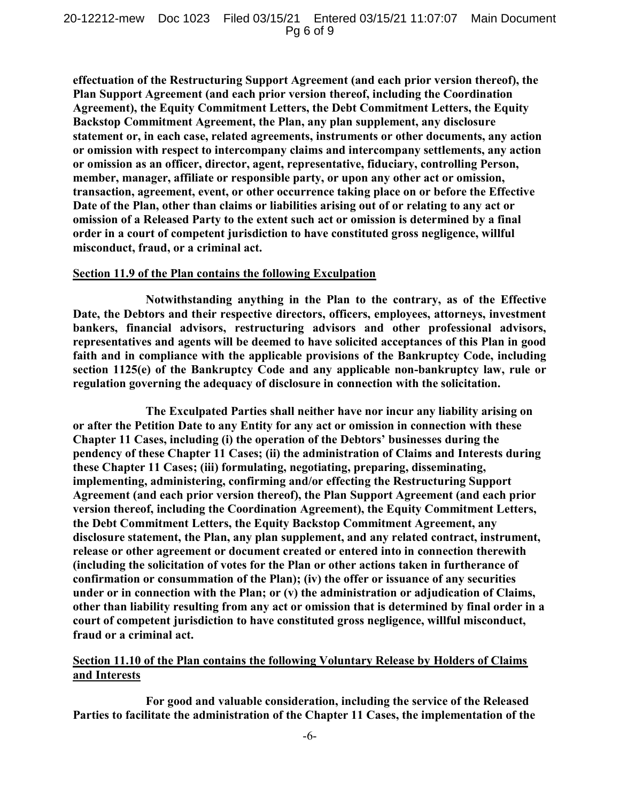effectuation of the Restructuring Support Agreement (and each prior version thereof), the Plan Support Agreement (and each prior version thereof, including the Coordination Agreement), the Equity Commitment Letters, the Debt Commitment Letters, the Equity Backstop Commitment Agreement, the Plan, any plan supplement, any disclosure statement or, in each case, related agreements, instruments or other documents, any action or omission with respect to intercompany claims and intercompany settlements, any action or omission as an officer, director, agent, representative, fiduciary, controlling Person, member, manager, affiliate or responsible party, or upon any other act or omission, transaction, agreement, event, or other occurrence taking place on or before the Effective Date of the Plan, other than claims or liabilities arising out of or relating to any act or omission of a Released Party to the extent such act or omission is determined by a final order in a court of competent jurisdiction to have constituted gross negligence, willful misconduct, fraud, or a criminal act.

## Section 11.9 of the Plan contains the following Exculpation

Notwithstanding anything in the Plan to the contrary, as of the Effective Date, the Debtors and their respective directors, officers, employees, attorneys, investment bankers, financial advisors, restructuring advisors and other professional advisors, representatives and agents will be deemed to have solicited acceptances of this Plan in good faith and in compliance with the applicable provisions of the Bankruptcy Code, including section 1125(e) of the Bankruptcy Code and any applicable non-bankruptcy law, rule or regulation governing the adequacy of disclosure in connection with the solicitation.

The Exculpated Parties shall neither have nor incur any liability arising on or after the Petition Date to any Entity for any act or omission in connection with these Chapter 11 Cases, including (i) the operation of the Debtors' businesses during the pendency of these Chapter 11 Cases; (ii) the administration of Claims and Interests during these Chapter 11 Cases; (iii) formulating, negotiating, preparing, disseminating, implementing, administering, confirming and/or effecting the Restructuring Support Agreement (and each prior version thereof), the Plan Support Agreement (and each prior version thereof, including the Coordination Agreement), the Equity Commitment Letters, the Debt Commitment Letters, the Equity Backstop Commitment Agreement, any disclosure statement, the Plan, any plan supplement, and any related contract, instrument, release or other agreement or document created or entered into in connection therewith (including the solicitation of votes for the Plan or other actions taken in furtherance of confirmation or consummation of the Plan); (iv) the offer or issuance of any securities under or in connection with the Plan; or (v) the administration or adjudication of Claims, other than liability resulting from any act or omission that is determined by final order in a court of competent jurisdiction to have constituted gross negligence, willful misconduct, fraud or a criminal act.

## Section 11.10 of the Plan contains the following Voluntary Release by Holders of Claims and Interests

For good and valuable consideration, including the service of the Released Parties to facilitate the administration of the Chapter 11 Cases, the implementation of the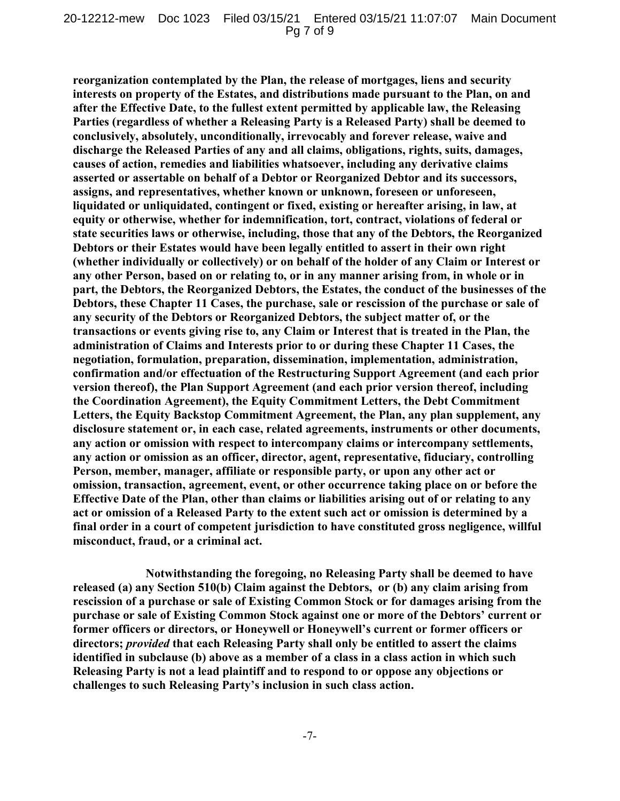reorganization contemplated by the Plan, the release of mortgages, liens and security interests on property of the Estates, and distributions made pursuant to the Plan, on and after the Effective Date, to the fullest extent permitted by applicable law, the Releasing Parties (regardless of whether a Releasing Party is a Released Party) shall be deemed to conclusively, absolutely, unconditionally, irrevocably and forever release, waive and discharge the Released Parties of any and all claims, obligations, rights, suits, damages, causes of action, remedies and liabilities whatsoever, including any derivative claims asserted or assertable on behalf of a Debtor or Reorganized Debtor and its successors, assigns, and representatives, whether known or unknown, foreseen or unforeseen, liquidated or unliquidated, contingent or fixed, existing or hereafter arising, in law, at equity or otherwise, whether for indemnification, tort, contract, violations of federal or state securities laws or otherwise, including, those that any of the Debtors, the Reorganized Debtors or their Estates would have been legally entitled to assert in their own right (whether individually or collectively) or on behalf of the holder of any Claim or Interest or any other Person, based on or relating to, or in any manner arising from, in whole or in part, the Debtors, the Reorganized Debtors, the Estates, the conduct of the businesses of the Debtors, these Chapter 11 Cases, the purchase, sale or rescission of the purchase or sale of any security of the Debtors or Reorganized Debtors, the subject matter of, or the transactions or events giving rise to, any Claim or Interest that is treated in the Plan, the administration of Claims and Interests prior to or during these Chapter 11 Cases, the negotiation, formulation, preparation, dissemination, implementation, administration, confirmation and/or effectuation of the Restructuring Support Agreement (and each prior version thereof), the Plan Support Agreement (and each prior version thereof, including the Coordination Agreement), the Equity Commitment Letters, the Debt Commitment Letters, the Equity Backstop Commitment Agreement, the Plan, any plan supplement, any disclosure statement or, in each case, related agreements, instruments or other documents, any action or omission with respect to intercompany claims or intercompany settlements, any action or omission as an officer, director, agent, representative, fiduciary, controlling Person, member, manager, affiliate or responsible party, or upon any other act or omission, transaction, agreement, event, or other occurrence taking place on or before the Effective Date of the Plan, other than claims or liabilities arising out of or relating to any act or omission of a Released Party to the extent such act or omission is determined by a final order in a court of competent jurisdiction to have constituted gross negligence, willful misconduct, fraud, or a criminal act.

Notwithstanding the foregoing, no Releasing Party shall be deemed to have released (a) any Section 510(b) Claim against the Debtors, or (b) any claim arising from rescission of a purchase or sale of Existing Common Stock or for damages arising from the purchase or sale of Existing Common Stock against one or more of the Debtors' current or former officers or directors, or Honeywell or Honeywell's current or former officers or directors; provided that each Releasing Party shall only be entitled to assert the claims identified in subclause (b) above as a member of a class in a class action in which such Releasing Party is not a lead plaintiff and to respond to or oppose any objections or challenges to such Releasing Party's inclusion in such class action.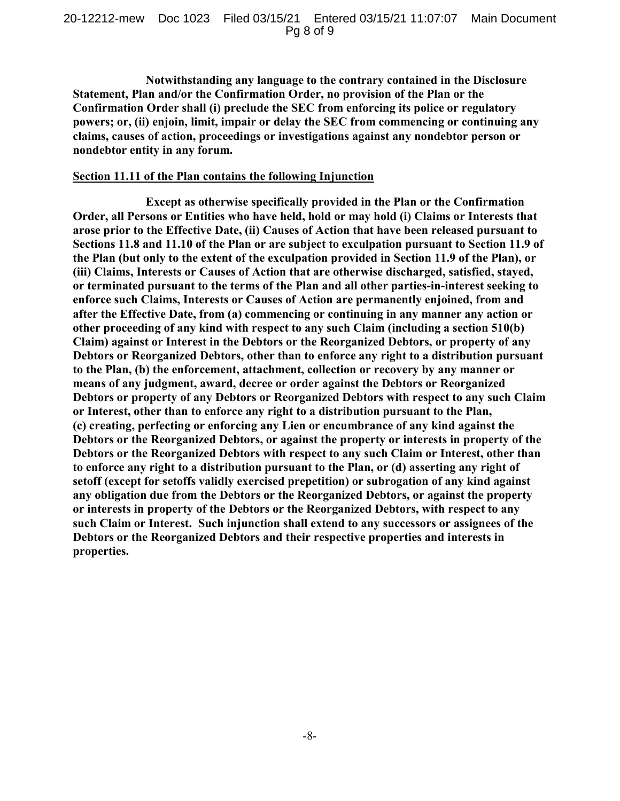Notwithstanding any language to the contrary contained in the Disclosure Statement, Plan and/or the Confirmation Order, no provision of the Plan or the Confirmation Order shall (i) preclude the SEC from enforcing its police or regulatory powers; or, (ii) enjoin, limit, impair or delay the SEC from commencing or continuing any claims, causes of action, proceedings or investigations against any nondebtor person or nondebtor entity in any forum.

#### Section 11.11 of the Plan contains the following Injunction

Except as otherwise specifically provided in the Plan or the Confirmation Order, all Persons or Entities who have held, hold or may hold (i) Claims or Interests that arose prior to the Effective Date, (ii) Causes of Action that have been released pursuant to Sections 11.8 and 11.10 of the Plan or are subject to exculpation pursuant to Section 11.9 of the Plan (but only to the extent of the exculpation provided in Section 11.9 of the Plan), or (iii) Claims, Interests or Causes of Action that are otherwise discharged, satisfied, stayed, or terminated pursuant to the terms of the Plan and all other parties-in-interest seeking to enforce such Claims, Interests or Causes of Action are permanently enjoined, from and after the Effective Date, from (a) commencing or continuing in any manner any action or other proceeding of any kind with respect to any such Claim (including a section 510(b) Claim) against or Interest in the Debtors or the Reorganized Debtors, or property of any Debtors or Reorganized Debtors, other than to enforce any right to a distribution pursuant to the Plan, (b) the enforcement, attachment, collection or recovery by any manner or means of any judgment, award, decree or order against the Debtors or Reorganized Debtors or property of any Debtors or Reorganized Debtors with respect to any such Claim or Interest, other than to enforce any right to a distribution pursuant to the Plan, (c) creating, perfecting or enforcing any Lien or encumbrance of any kind against the Debtors or the Reorganized Debtors, or against the property or interests in property of the Debtors or the Reorganized Debtors with respect to any such Claim or Interest, other than to enforce any right to a distribution pursuant to the Plan, or (d) asserting any right of setoff (except for setoffs validly exercised prepetition) or subrogation of any kind against any obligation due from the Debtors or the Reorganized Debtors, or against the property or interests in property of the Debtors or the Reorganized Debtors, with respect to any such Claim or Interest. Such injunction shall extend to any successors or assignees of the Debtors or the Reorganized Debtors and their respective properties and interests in properties.